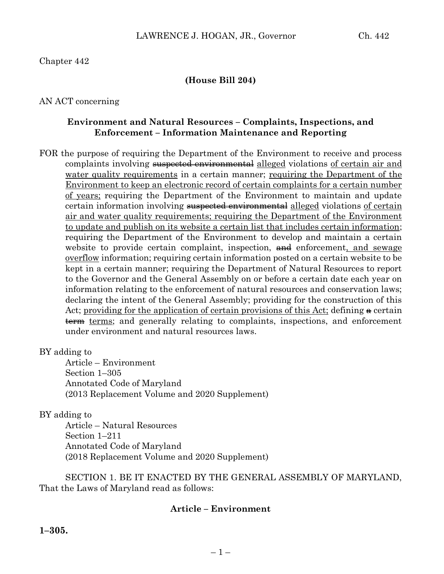## Chapter 442

## **(House Bill 204)**

#### AN ACT concerning

#### **Environment and Natural Resources – Complaints, Inspections, and Enforcement – Information Maintenance and Reporting**

FOR the purpose of requiring the Department of the Environment to receive and process complaints involving suspected environmental alleged violations of certain air and water quality requirements in a certain manner; requiring the Department of the Environment to keep an electronic record of certain complaints for a certain number of years; requiring the Department of the Environment to maintain and update certain information involving suspected environmental alleged violations of certain air and water quality requirements; requiring the Department of the Environment to update and publish on its website a certain list that includes certain information; requiring the Department of the Environment to develop and maintain a certain website to provide certain complaint, inspection, and enforcement, and sewage overflow information; requiring certain information posted on a certain website to be kept in a certain manner; requiring the Department of Natural Resources to report to the Governor and the General Assembly on or before a certain date each year on information relating to the enforcement of natural resources and conservation laws; declaring the intent of the General Assembly; providing for the construction of this Act; providing for the application of certain provisions of this Act; defining a certain term terms; and generally relating to complaints, inspections, and enforcement under environment and natural resources laws.

#### BY adding to

Article – Environment Section 1–305 Annotated Code of Maryland (2013 Replacement Volume and 2020 Supplement)

#### BY adding to

Article – Natural Resources Section 1–211 Annotated Code of Maryland (2018 Replacement Volume and 2020 Supplement)

SECTION 1. BE IT ENACTED BY THE GENERAL ASSEMBLY OF MARYLAND, That the Laws of Maryland read as follows:

## **Article – Environment**

**1–305.**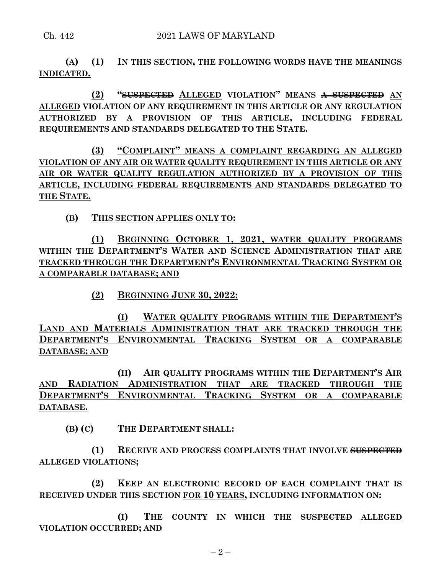**(A) (1) IN THIS SECTION, THE FOLLOWING WORDS HAVE THE MEANINGS INDICATED.**

**(2) "SUSPECTED ALLEGED VIOLATION" MEANS A SUSPECTED AN ALLEGED VIOLATION OF ANY REQUIREMENT IN THIS ARTICLE OR ANY REGULATION AUTHORIZED BY A PROVISION OF THIS ARTICLE, INCLUDING FEDERAL REQUIREMENTS AND STANDARDS DELEGATED TO THE STATE.**

**(3) "COMPLAINT" MEANS A COMPLAINT REGARDING AN ALLEGED VIOLATION OF ANY AIR OR WATER QUALITY REQUIREMENT IN THIS ARTICLE OR ANY AIR OR WATER QUALITY REGULATION AUTHORIZED BY A PROVISION OF THIS ARTICLE, INCLUDING FEDERAL REQUIREMENTS AND STANDARDS DELEGATED TO THE STATE.**

**(B) THIS SECTION APPLIES ONLY TO:**

**(1) BEGINNING OCTOBER 1, 2021, WATER QUALITY PROGRAMS WITHIN THE DEPARTMENT'S WATER AND SCIENCE ADMINISTRATION THAT ARE TRACKED THROUGH THE DEPARTMENT'S ENVIRONMENTAL TRACKING SYSTEM OR A COMPARABLE DATABASE; AND** 

**(2) BEGINNING JUNE 30, 2022:**

**(I) WATER QUALITY PROGRAMS WITHIN THE DEPARTMENT'S LAND AND MATERIALS ADMINISTRATION THAT ARE TRACKED THROUGH THE DEPARTMENT'S ENVIRONMENTAL TRACKING SYSTEM OR A COMPARABLE DATABASE; AND**

**(II) AIR QUALITY PROGRAMS WITHIN THE DEPARTMENT'S AIR AND RADIATION ADMINISTRATION THAT ARE TRACKED THROUGH THE DEPARTMENT'S ENVIRONMENTAL TRACKING SYSTEM OR A COMPARABLE DATABASE.**

**(B) (C) THE DEPARTMENT SHALL:**

**(1) RECEIVE AND PROCESS COMPLAINTS THAT INVOLVE SUSPECTED ALLEGED VIOLATIONS;**

**(2) KEEP AN ELECTRONIC RECORD OF EACH COMPLAINT THAT IS RECEIVED UNDER THIS SECTION FOR 10 YEARS, INCLUDING INFORMATION ON:**

**(I) THE COUNTY IN WHICH THE SUSPECTED ALLEGED VIOLATION OCCURRED; AND**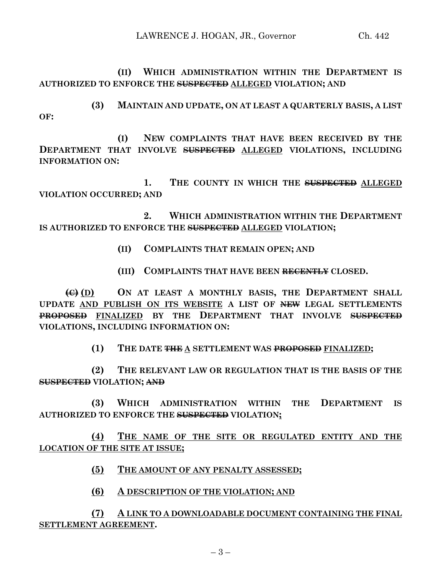**(II) WHICH ADMINISTRATION WITHIN THE DEPARTMENT IS AUTHORIZED TO ENFORCE THE SUSPECTED ALLEGED VIOLATION; AND**

**(3) MAINTAIN AND UPDATE, ON AT LEAST A QUARTERLY BASIS, A LIST OF:**

**(I) NEW COMPLAINTS THAT HAVE BEEN RECEIVED BY THE DEPARTMENT THAT INVOLVE SUSPECTED ALLEGED VIOLATIONS, INCLUDING INFORMATION ON:**

**1. THE COUNTY IN WHICH THE SUSPECTED ALLEGED VIOLATION OCCURRED; AND**

**2. WHICH ADMINISTRATION WITHIN THE DEPARTMENT IS AUTHORIZED TO ENFORCE THE SUSPECTED ALLEGED VIOLATION;**

- **(II) COMPLAINTS THAT REMAIN OPEN; AND**
- **(III) COMPLAINTS THAT HAVE BEEN RECENTLY CLOSED.**

**(C) (D) ON AT LEAST A MONTHLY BASIS, THE DEPARTMENT SHALL UPDATE AND PUBLISH ON ITS WEBSITE A LIST OF NEW LEGAL SETTLEMENTS PROPOSED FINALIZED BY THE DEPARTMENT THAT INVOLVE SUSPECTED VIOLATIONS, INCLUDING INFORMATION ON:**

**(1) THE DATE THE A SETTLEMENT WAS PROPOSED FINALIZED;**

**(2) THE RELEVANT LAW OR REGULATION THAT IS THE BASIS OF THE SUSPECTED VIOLATION; AND**

**(3) WHICH ADMINISTRATION WITHIN THE DEPARTMENT IS AUTHORIZED TO ENFORCE THE SUSPECTED VIOLATION;**

**(4) THE NAME OF THE SITE OR REGULATED ENTITY AND THE LOCATION OF THE SITE AT ISSUE;**

**(5) THE AMOUNT OF ANY PENALTY ASSESSED;**

**(6) A DESCRIPTION OF THE VIOLATION; AND**

**(7) A LINK TO A DOWNLOADABLE DOCUMENT CONTAINING THE FINAL SETTLEMENT AGREEMENT.**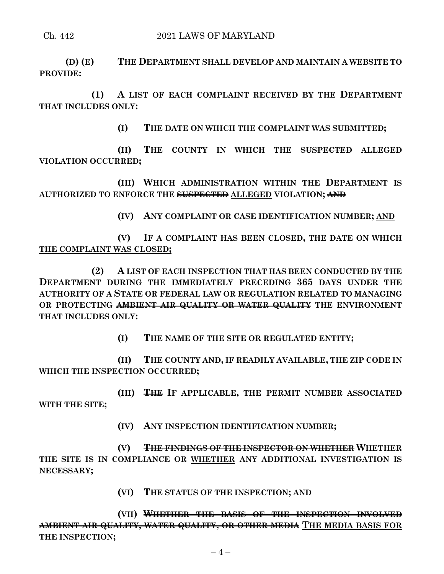**(D) (E) THE DEPARTMENT SHALL DEVELOP AND MAINTAIN A WEBSITE TO PROVIDE:**

**(1) A LIST OF EACH COMPLAINT RECEIVED BY THE DEPARTMENT THAT INCLUDES ONLY:**

**(I) THE DATE ON WHICH THE COMPLAINT WAS SUBMITTED;**

**(II) THE COUNTY IN WHICH THE SUSPECTED ALLEGED VIOLATION OCCURRED;**

**(III) WHICH ADMINISTRATION WITHIN THE DEPARTMENT IS AUTHORIZED TO ENFORCE THE SUSPECTED ALLEGED VIOLATION; AND**

**(IV) ANY COMPLAINT OR CASE IDENTIFICATION NUMBER; AND**

**(V) IF A COMPLAINT HAS BEEN CLOSED, THE DATE ON WHICH THE COMPLAINT WAS CLOSED;**

**(2) A LIST OF EACH INSPECTION THAT HAS BEEN CONDUCTED BY THE DEPARTMENT DURING THE IMMEDIATELY PRECEDING 365 DAYS UNDER THE AUTHORITY OF A STATE OR FEDERAL LAW OR REGULATION RELATED TO MANAGING OR PROTECTING AMBIENT AIR QUALITY OR WATER QUALITY THE ENVIRONMENT THAT INCLUDES ONLY:**

**(I) THE NAME OF THE SITE OR REGULATED ENTITY;**

**(II) THE COUNTY AND, IF READILY AVAILABLE, THE ZIP CODE IN WHICH THE INSPECTION OCCURRED;**

**(III) THE IF APPLICABLE, THE PERMIT NUMBER ASSOCIATED WITH THE SITE;**

**(IV) ANY INSPECTION IDENTIFICATION NUMBER;**

**(V) THE FINDINGS OF THE INSPECTOR ON WHETHER WHETHER THE SITE IS IN COMPLIANCE OR WHETHER ANY ADDITIONAL INVESTIGATION IS NECESSARY;**

**(VI) THE STATUS OF THE INSPECTION; AND**

**(VII) WHETHER THE BASIS OF THE INSPECTION INVOLVED AMBIENT AIR QUALITY, WATER QUALITY, OR OTHER MEDIA THE MEDIA BASIS FOR THE INSPECTION;**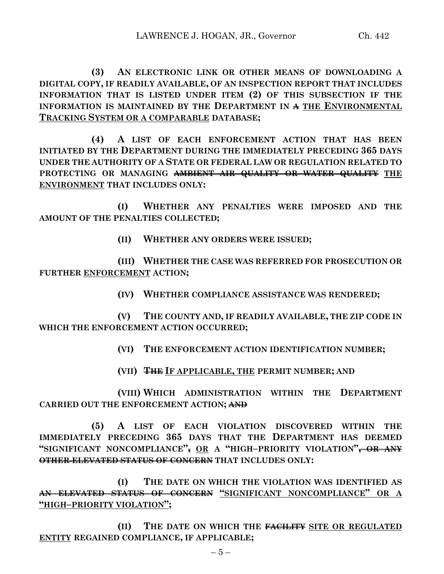**(3) AN ELECTRONIC LINK OR OTHER MEANS OF DOWNLOADING A DIGITAL COPY, IF READILY AVAILABLE, OF AN INSPECTION REPORT THAT INCLUDES INFORMATION THAT IS LISTED UNDER ITEM (2) OF THIS SUBSECTION IF THE INFORMATION IS MAINTAINED BY THE DEPARTMENT IN A THE ENVIRONMENTAL TRACKING SYSTEM OR A COMPARABLE DATABASE;**

**(4) A LIST OF EACH ENFORCEMENT ACTION THAT HAS BEEN INITIATED BY THE DEPARTMENT DURING THE IMMEDIATELY PRECEDING 365 DAYS UNDER THE AUTHORITY OF A STATE OR FEDERAL LAW OR REGULATION RELATED TO PROTECTING OR MANAGING AMBIENT AIR QUALITY OR WATER QUALITY THE ENVIRONMENT THAT INCLUDES ONLY:**

**(I) WHETHER ANY PENALTIES WERE IMPOSED AND THE AMOUNT OF THE PENALTIES COLLECTED;**

**(II) WHETHER ANY ORDERS WERE ISSUED;**

**(III) WHETHER THE CASE WAS REFERRED FOR PROSECUTION OR FURTHER ENFORCEMENT ACTION;**

**(IV) WHETHER COMPLIANCE ASSISTANCE WAS RENDERED;**

**(V) THE COUNTY AND, IF READILY AVAILABLE, THE ZIP CODE IN WHICH THE ENFORCEMENT ACTION OCCURRED;**

**(VI) THE ENFORCEMENT ACTION IDENTIFICATION NUMBER;**

**(VII) THE IF APPLICABLE, THE PERMIT NUMBER; AND**

**(VIII) WHICH ADMINISTRATION WITHIN THE DEPARTMENT CARRIED OUT THE ENFORCEMENT ACTION; AND**

**(5) A LIST OF EACH VIOLATION DISCOVERED WITHIN THE IMMEDIATELY PRECEDING 365 DAYS THAT THE DEPARTMENT HAS DEEMED "SIGNIFICANT NONCOMPLIANCE", OR A "HIGH–PRIORITY VIOLATION", OR ANY OTHER ELEVATED STATUS OF CONCERN THAT INCLUDES ONLY:**

**(I) THE DATE ON WHICH THE VIOLATION WAS IDENTIFIED AS AN ELEVATED STATUS OF CONCERN "SIGNIFICANT NONCOMPLIANCE" OR A "HIGH–PRIORITY VIOLATION";**

**(II) THE DATE ON WHICH THE FACILITY SITE OR REGULATED ENTITY REGAINED COMPLIANCE, IF APPLICABLE;**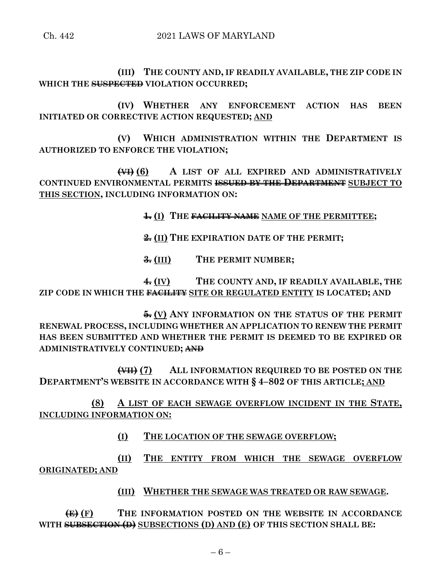**(III) THE COUNTY AND, IF READILY AVAILABLE, THE ZIP CODE IN WHICH THE SUSPECTED VIOLATION OCCURRED;**

**(IV) WHETHER ANY ENFORCEMENT ACTION HAS BEEN INITIATED OR CORRECTIVE ACTION REQUESTED; AND**

**(V) WHICH ADMINISTRATION WITHIN THE DEPARTMENT IS AUTHORIZED TO ENFORCE THE VIOLATION;**

**(VI) (6) A LIST OF ALL EXPIRED AND ADMINISTRATIVELY CONTINUED ENVIRONMENTAL PERMITS ISSUED BY THE DEPARTMENT SUBJECT TO THIS SECTION, INCLUDING INFORMATION ON:**

**1. (I) THE FACILITY NAME NAME OF THE PERMITTEE;**

**2. (II) THE EXPIRATION DATE OF THE PERMIT;**

**3. (III) THE PERMIT NUMBER;**

**4. (IV) THE COUNTY AND, IF READILY AVAILABLE, THE ZIP CODE IN WHICH THE FACILITY SITE OR REGULATED ENTITY IS LOCATED; AND**

**5. (V) ANY INFORMATION ON THE STATUS OF THE PERMIT RENEWAL PROCESS, INCLUDING WHETHER AN APPLICATION TO RENEW THE PERMIT HAS BEEN SUBMITTED AND WHETHER THE PERMIT IS DEEMED TO BE EXPIRED OR ADMINISTRATIVELY CONTINUED; AND**

**(VII) (7) ALL INFORMATION REQUIRED TO BE POSTED ON THE DEPARTMENT'S WEBSITE IN ACCORDANCE WITH § 4–802 OF THIS ARTICLE; AND**

**(8) A LIST OF EACH SEWAGE OVERFLOW INCIDENT IN THE STATE, INCLUDING INFORMATION ON:**

**(I) THE LOCATION OF THE SEWAGE OVERFLOW;**

**(II) THE ENTITY FROM WHICH THE SEWAGE OVERFLOW ORIGINATED; AND**

**(III) WHETHER THE SEWAGE WAS TREATED OR RAW SEWAGE.**

**(E) (F) THE INFORMATION POSTED ON THE WEBSITE IN ACCORDANCE WITH SUBSECTION (D) SUBSECTIONS (D) AND (E) OF THIS SECTION SHALL BE:**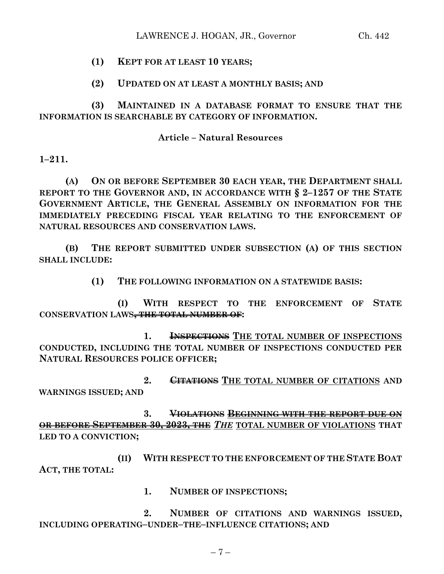# **(1) KEPT FOR AT LEAST 10 YEARS;**

# **(2) UPDATED ON AT LEAST A MONTHLY BASIS; AND**

**(3) MAINTAINED IN A DATABASE FORMAT TO ENSURE THAT THE INFORMATION IS SEARCHABLE BY CATEGORY OF INFORMATION.**

## **Article – Natural Resources**

**1–211.**

**(A) ON OR BEFORE SEPTEMBER 30 EACH YEAR, THE DEPARTMENT SHALL REPORT TO THE GOVERNOR AND, IN ACCORDANCE WITH § 2–1257 OF THE STATE GOVERNMENT ARTICLE, THE GENERAL ASSEMBLY ON INFORMATION FOR THE IMMEDIATELY PRECEDING FISCAL YEAR RELATING TO THE ENFORCEMENT OF NATURAL RESOURCES AND CONSERVATION LAWS.**

**(B) THE REPORT SUBMITTED UNDER SUBSECTION (A) OF THIS SECTION SHALL INCLUDE:**

**(1) THE FOLLOWING INFORMATION ON A STATEWIDE BASIS:**

**(I) WITH RESPECT TO THE ENFORCEMENT OF STATE CONSERVATION LAWS, THE TOTAL NUMBER OF:**

**1. INSPECTIONS THE TOTAL NUMBER OF INSPECTIONS CONDUCTED, INCLUDING THE TOTAL NUMBER OF INSPECTIONS CONDUCTED PER NATURAL RESOURCES POLICE OFFICER;**

**2. CITATIONS THE TOTAL NUMBER OF CITATIONS AND WARNINGS ISSUED; AND**

**3. VIOLATIONS BEGINNING WITH THE REPORT DUE ON OR BEFORE SEPTEMBER 30, 2023, THE** *THE* **TOTAL NUMBER OF VIOLATIONS THAT LED TO A CONVICTION;**

**(II) WITH RESPECT TO THE ENFORCEMENT OF THE STATE BOAT ACT, THE TOTAL:**

**1. NUMBER OF INSPECTIONS;**

**2. NUMBER OF CITATIONS AND WARNINGS ISSUED, INCLUDING OPERATING–UNDER–THE–INFLUENCE CITATIONS; AND**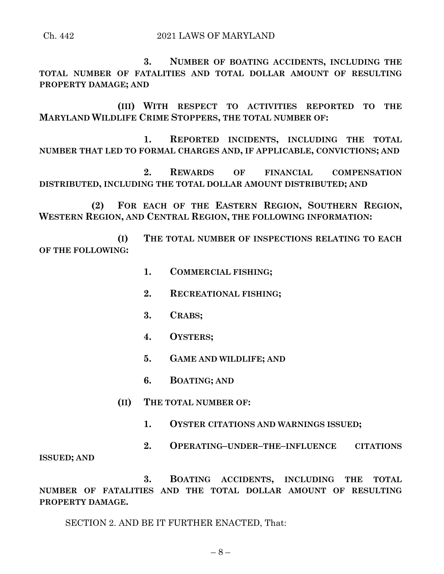**3. NUMBER OF BOATING ACCIDENTS, INCLUDING THE TOTAL NUMBER OF FATALITIES AND TOTAL DOLLAR AMOUNT OF RESULTING PROPERTY DAMAGE; AND**

**(III) WITH RESPECT TO ACTIVITIES REPORTED TO THE MARYLAND WILDLIFE CRIME STOPPERS, THE TOTAL NUMBER OF:**

**1. REPORTED INCIDENTS, INCLUDING THE TOTAL NUMBER THAT LED TO FORMAL CHARGES AND, IF APPLICABLE, CONVICTIONS; AND** 

**2. REWARDS OF FINANCIAL COMPENSATION DISTRIBUTED, INCLUDING THE TOTAL DOLLAR AMOUNT DISTRIBUTED; AND**

**(2) FOR EACH OF THE EASTERN REGION, SOUTHERN REGION, WESTERN REGION, AND CENTRAL REGION, THE FOLLOWING INFORMATION:**

**(I) THE TOTAL NUMBER OF INSPECTIONS RELATING TO EACH OF THE FOLLOWING:**

- **1. COMMERCIAL FISHING;**
- **2. RECREATIONAL FISHING;**
- **3. CRABS;**
- **4. OYSTERS;**
- **5. GAME AND WILDLIFE; AND**
- **6. BOATING; AND**
- **(II) THE TOTAL NUMBER OF:**
	- **1. OYSTER CITATIONS AND WARNINGS ISSUED;**
- **2. OPERATING–UNDER–THE–INFLUENCE CITATIONS**

**ISSUED; AND**

**3. BOATING ACCIDENTS, INCLUDING THE TOTAL NUMBER OF FATALITIES AND THE TOTAL DOLLAR AMOUNT OF RESULTING PROPERTY DAMAGE.**

SECTION 2. AND BE IT FURTHER ENACTED, That: